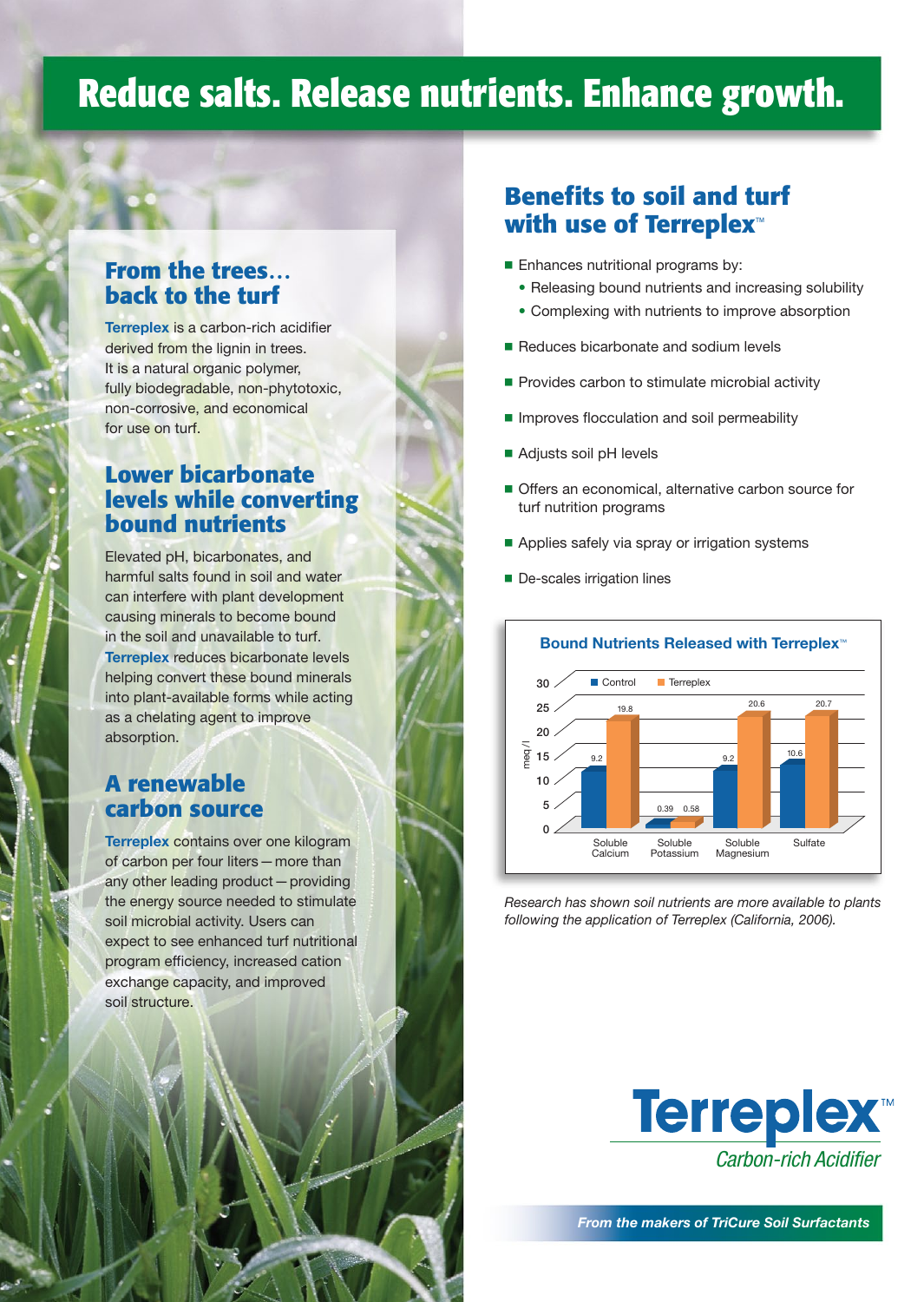## **Reduce salts. Release nutrients. Enhance growth.**

#### **From the trees… back to the turf**

Terreplex is a carbon-rich acidifier derived from the lignin in trees. It is a natural organic polymer, fully biodegradable, non-phytotoxic, non-corrosive, and economical for use on turf.

#### **Lower bicarbonate levels while converting bound nutrients**

Elevated pH, bicarbonates, and harmful salts found in soil and water can interfere with plant development causing minerals to become bound in the soil and unavailable to turf. Terreplex reduces bicarbonate levels helping convert these bound minerals into plant-available forms while acting as a chelating agent to improve absorption.

#### **A renewable carbon source**

Terreplex contains over one kilogram of carbon per four liters — more than any other leading product — providing the energy source needed to stimulate soil microbial activity. Users can expect to see enhanced turf nutritional program efficiency, increased cation exchange capacity, and improved soil structure.

## **Benefits to soil and turf with use of Terreplex**™

- **Enhances nutritional programs by:** 
	- Releasing bound nutrients and increasing solubility
	- Complexing with nutrients to improve absorption
- Reduces bicarbonate and sodium levels
- Provides carbon to stimulate microbial activity
- **Improves flocculation and soil permeability**
- Adjusts soil pH levels
- **Offers an economical, alternative carbon source for** turf nutrition programs
- Applies safely via spray or irrigation systems
- De-scales irrigation lines



*Research has shown soil nutrients are more available to plants following the application of Terreplex (California, 2006).*



*From the makers of TriCure Soil Surfactants*